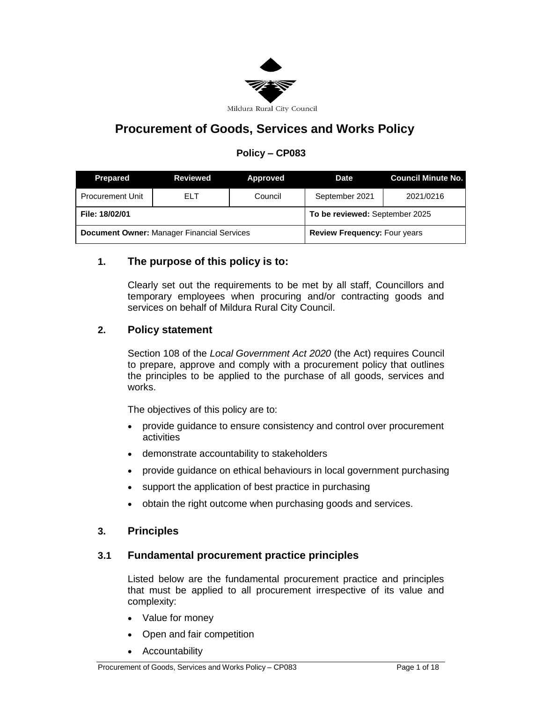

# **Procurement of Goods, Services and Works Policy**

# **Policy – CP083**

| <b>Prepared</b>                                   | <b>Reviewed</b> | Approved                            | <b>Date</b>    | Council Minute No. |
|---------------------------------------------------|-----------------|-------------------------------------|----------------|--------------------|
| <b>Procurement Unit</b>                           | ELT             | Council                             | September 2021 | 2021/0216          |
| File: 18/02/01                                    |                 | To be reviewed: September 2025      |                |                    |
| <b>Document Owner: Manager Financial Services</b> |                 | <b>Review Frequency: Four years</b> |                |                    |

## **1. The purpose of this policy is to:**

Clearly set out the requirements to be met by all staff, Councillors and temporary employees when procuring and/or contracting goods and services on behalf of Mildura Rural City Council.

## **2. Policy statement**

Section 108 of the *Local Government Act 2020* (the Act) requires Council to prepare, approve and comply with a procurement policy that outlines the principles to be applied to the purchase of all goods, services and works.

The objectives of this policy are to:

- provide guidance to ensure consistency and control over procurement activities
- demonstrate accountability to stakeholders
- provide guidance on ethical behaviours in local government purchasing
- support the application of best practice in purchasing
- obtain the right outcome when purchasing goods and services.

### **3. Principles**

### **3.1 Fundamental procurement practice principles**

Listed below are the fundamental procurement practice and principles that must be applied to all procurement irrespective of its value and complexity:

- Value for money
- Open and fair competition
- Accountability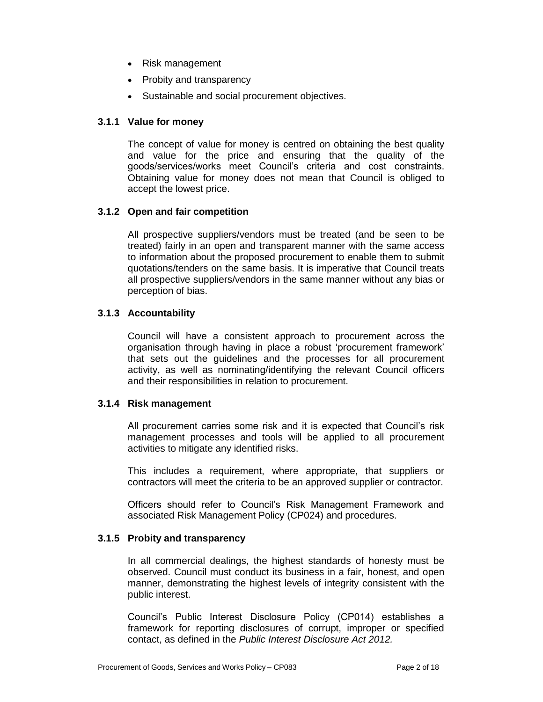- Risk management
- Probity and transparency
- Sustainable and social procurement objectives.

### **3.1.1 Value for money**

The concept of value for money is centred on obtaining the best quality and value for the price and ensuring that the quality of the goods/services/works meet Council's criteria and cost constraints. Obtaining value for money does not mean that Council is obliged to accept the lowest price.

### **3.1.2 Open and fair competition**

All prospective suppliers/vendors must be treated (and be seen to be treated) fairly in an open and transparent manner with the same access to information about the proposed procurement to enable them to submit quotations/tenders on the same basis. It is imperative that Council treats all prospective suppliers/vendors in the same manner without any bias or perception of bias.

### **3.1.3 Accountability**

Council will have a consistent approach to procurement across the organisation through having in place a robust 'procurement framework' that sets out the guidelines and the processes for all procurement activity, as well as nominating/identifying the relevant Council officers and their responsibilities in relation to procurement.

### **3.1.4 Risk management**

All procurement carries some risk and it is expected that Council's risk management processes and tools will be applied to all procurement activities to mitigate any identified risks.

This includes a requirement, where appropriate, that suppliers or contractors will meet the criteria to be an approved supplier or contractor.

Officers should refer to Council's Risk Management Framework and associated Risk Management Policy (CP024) and procedures.

### **3.1.5 Probity and transparency**

In all commercial dealings, the highest standards of honesty must be observed. Council must conduct its business in a fair, honest, and open manner, demonstrating the highest levels of integrity consistent with the public interest.

Council's Public Interest Disclosure Policy (CP014) establishes a framework for reporting disclosures of corrupt, improper or specified contact, as defined in the *Public Interest Disclosure Act 2012.*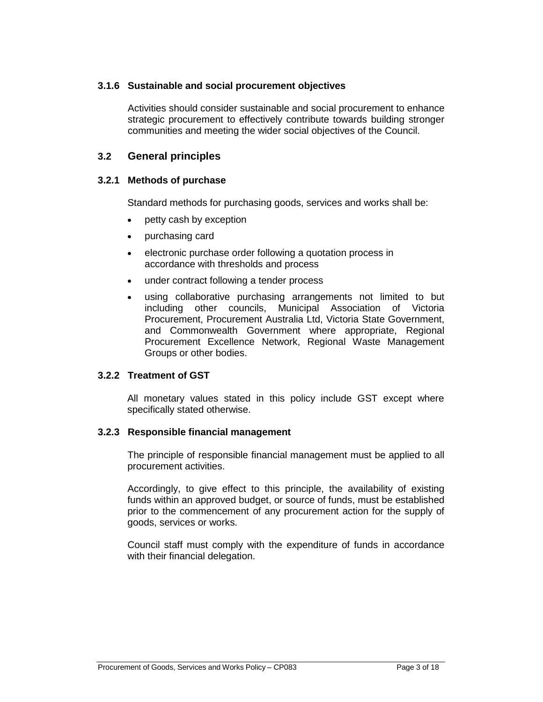### **3.1.6 Sustainable and social procurement objectives**

Activities should consider sustainable and social procurement to enhance strategic procurement to effectively contribute towards building stronger communities and meeting the wider social objectives of the Council.

### **3.2 General principles**

### **3.2.1 Methods of purchase**

Standard methods for purchasing goods, services and works shall be:

- petty cash by exception
- purchasing card
- electronic purchase order following a quotation process in accordance with thresholds and process
- under contract following a tender process
- using collaborative purchasing arrangements not limited to but including other councils, Municipal Association of Victoria Procurement, Procurement Australia Ltd, Victoria State Government, and Commonwealth Government where appropriate, Regional Procurement Excellence Network, Regional Waste Management Groups or other bodies.

### **3.2.2 Treatment of GST**

All monetary values stated in this policy include GST except where specifically stated otherwise.

### **3.2.3 Responsible financial management**

The principle of responsible financial management must be applied to all procurement activities.

Accordingly, to give effect to this principle, the availability of existing funds within an approved budget, or source of funds, must be established prior to the commencement of any procurement action for the supply of goods, services or works.

Council staff must comply with the expenditure of funds in accordance with their financial delegation.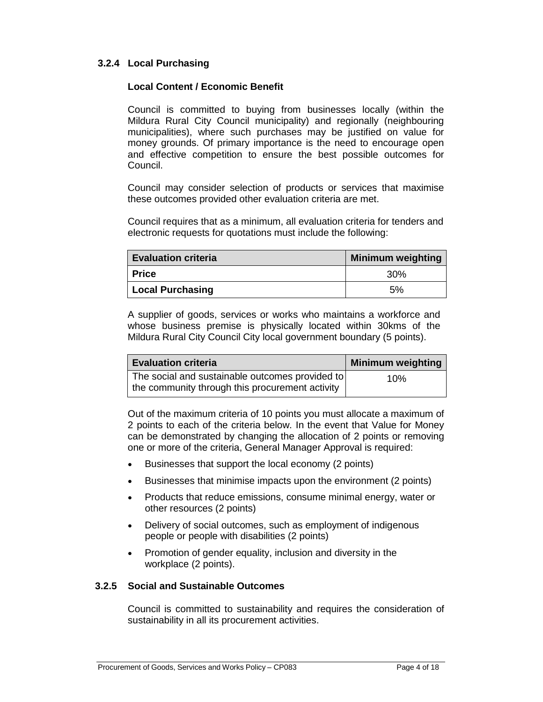### **3.2.4 Local Purchasing**

#### **Local Content / Economic Benefit**

Council is committed to buying from businesses locally (within the Mildura Rural City Council municipality) and regionally (neighbouring municipalities), where such purchases may be justified on value for money grounds. Of primary importance is the need to encourage open and effective competition to ensure the best possible outcomes for Council.

Council may consider selection of products or services that maximise these outcomes provided other evaluation criteria are met.

Council requires that as a minimum, all evaluation criteria for tenders and electronic requests for quotations must include the following:

| <b>Evaluation criteria</b> | <b>Minimum weighting</b> |
|----------------------------|--------------------------|
| <b>Price</b>               | 30%                      |
| <b>Local Purchasing</b>    | 5%                       |

A supplier of goods, services or works who maintains a workforce and whose business premise is physically located within 30kms of the Mildura Rural City Council City local government boundary (5 points).

| ∣ Evaluation criteria∣                          | <b>Minimum weighting</b> |
|-------------------------------------------------|--------------------------|
| The social and sustainable outcomes provided to | 10%                      |
| the community through this procurement activity |                          |

Out of the maximum criteria of 10 points you must allocate a maximum of 2 points to each of the criteria below. In the event that Value for Money can be demonstrated by changing the allocation of 2 points or removing one or more of the criteria, General Manager Approval is required:

- Businesses that support the local economy (2 points)
- Businesses that minimise impacts upon the environment (2 points)
- Products that reduce emissions, consume minimal energy, water or other resources (2 points)
- Delivery of social outcomes, such as employment of indigenous people or people with disabilities (2 points)
- Promotion of gender equality, inclusion and diversity in the workplace (2 points).

### **3.2.5 Social and Sustainable Outcomes**

Council is committed to sustainability and requires the consideration of sustainability in all its procurement activities.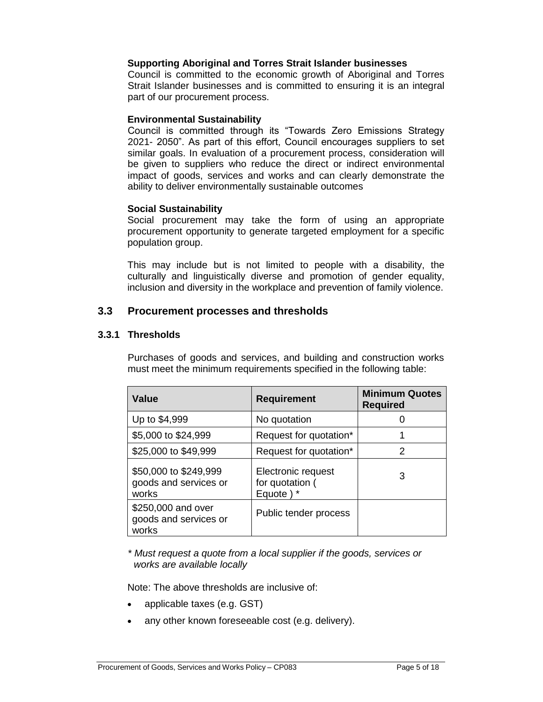#### **Supporting Aboriginal and Torres Strait Islander businesses**

Council is committed to the economic growth of Aboriginal and Torres Strait Islander businesses and is committed to ensuring it is an integral part of our procurement process.

#### **Environmental Sustainability**

Council is committed through its "Towards Zero Emissions Strategy 2021- 2050". As part of this effort, Council encourages suppliers to set similar goals. In evaluation of a procurement process, consideration will be given to suppliers who reduce the direct or indirect environmental impact of goods, services and works and can clearly demonstrate the ability to deliver environmentally sustainable outcomes

#### **Social Sustainability**

Social procurement may take the form of using an appropriate procurement opportunity to generate targeted employment for a specific population group.

This may include but is not limited to people with a disability, the culturally and linguistically diverse and promotion of gender equality, inclusion and diversity in the workplace and prevention of family violence.

### **3.3 Procurement processes and thresholds**

### **3.3.1 Thresholds**

Purchases of goods and services, and building and construction works must meet the minimum requirements specified in the following table:

| Value                                                   | <b>Requirement</b>                                 | <b>Minimum Quotes</b><br><b>Required</b> |
|---------------------------------------------------------|----------------------------------------------------|------------------------------------------|
| Up to \$4,999                                           | No quotation                                       |                                          |
| \$5,000 to \$24,999                                     | Request for quotation*                             |                                          |
| \$25,000 to \$49,999                                    | Request for quotation*                             | 2                                        |
| \$50,000 to \$249,999<br>goods and services or<br>works | Electronic request<br>for quotation (<br>Equote) * | 3                                        |
| \$250,000 and over<br>goods and services or<br>works    | Public tender process                              |                                          |

*\* Must request a quote from a local supplier if the goods, services or works are available locally*

Note: The above thresholds are inclusive of:

- applicable taxes (e.g. GST)
- any other known foreseeable cost (e.g. delivery).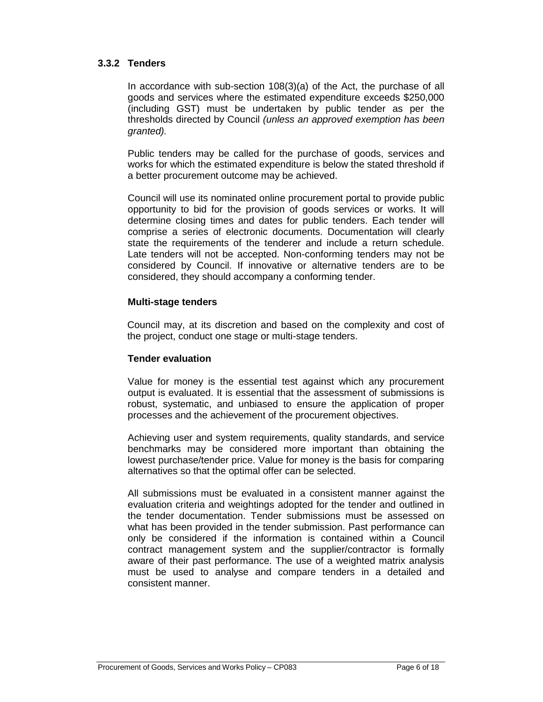### **3.3.2 Tenders**

In accordance with sub-section 108(3)(a) of the Act, the purchase of all goods and services where the estimated expenditure exceeds \$250,000 (including GST) must be undertaken by public tender as per the thresholds directed by Council *(unless an approved exemption has been granted).*

Public tenders may be called for the purchase of goods, services and works for which the estimated expenditure is below the stated threshold if a better procurement outcome may be achieved.

Council will use its nominated online procurement portal to provide public opportunity to bid for the provision of goods services or works. It will determine closing times and dates for public tenders. Each tender will comprise a series of electronic documents. Documentation will clearly state the requirements of the tenderer and include a return schedule. Late tenders will not be accepted. Non-conforming tenders may not be considered by Council. If innovative or alternative tenders are to be considered, they should accompany a conforming tender.

#### **Multi-stage tenders**

Council may, at its discretion and based on the complexity and cost of the project, conduct one stage or multi-stage tenders.

### **Tender evaluation**

Value for money is the essential test against which any procurement output is evaluated. It is essential that the assessment of submissions is robust, systematic, and unbiased to ensure the application of proper processes and the achievement of the procurement objectives.

Achieving user and system requirements, quality standards, and service benchmarks may be considered more important than obtaining the lowest purchase/tender price. Value for money is the basis for comparing alternatives so that the optimal offer can be selected.

All submissions must be evaluated in a consistent manner against the evaluation criteria and weightings adopted for the tender and outlined in the tender documentation. Tender submissions must be assessed on what has been provided in the tender submission. Past performance can only be considered if the information is contained within a Council contract management system and the supplier/contractor is formally aware of their past performance. The use of a weighted matrix analysis must be used to analyse and compare tenders in a detailed and consistent manner.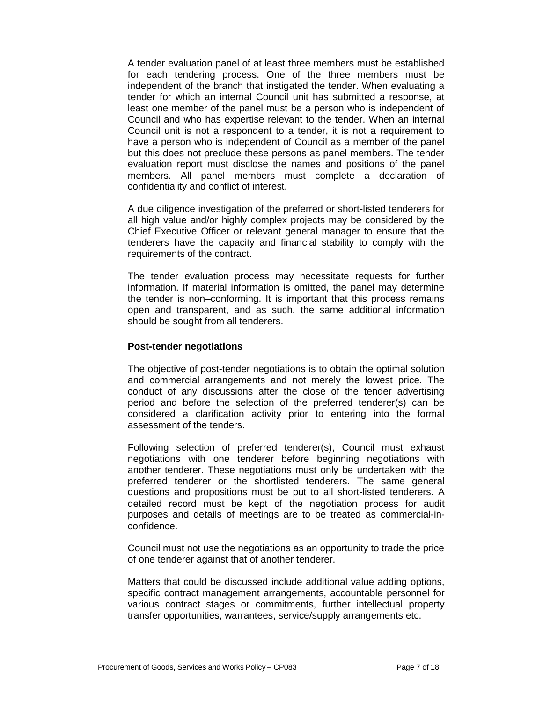A tender evaluation panel of at least three members must be established for each tendering process. One of the three members must be independent of the branch that instigated the tender. When evaluating a tender for which an internal Council unit has submitted a response, at least one member of the panel must be a person who is independent of Council and who has expertise relevant to the tender. When an internal Council unit is not a respondent to a tender, it is not a requirement to have a person who is independent of Council as a member of the panel but this does not preclude these persons as panel members. The tender evaluation report must disclose the names and positions of the panel members. All panel members must complete a declaration of confidentiality and conflict of interest.

A due diligence investigation of the preferred or short-listed tenderers for all high value and/or highly complex projects may be considered by the Chief Executive Officer or relevant general manager to ensure that the tenderers have the capacity and financial stability to comply with the requirements of the contract.

The tender evaluation process may necessitate requests for further information. If material information is omitted, the panel may determine the tender is non–conforming. It is important that this process remains open and transparent, and as such, the same additional information should be sought from all tenderers.

#### **Post-tender negotiations**

The objective of post-tender negotiations is to obtain the optimal solution and commercial arrangements and not merely the lowest price. The conduct of any discussions after the close of the tender advertising period and before the selection of the preferred tenderer(s) can be considered a clarification activity prior to entering into the formal assessment of the tenders.

Following selection of preferred tenderer(s), Council must exhaust negotiations with one tenderer before beginning negotiations with another tenderer. These negotiations must only be undertaken with the preferred tenderer or the shortlisted tenderers. The same general questions and propositions must be put to all short-listed tenderers. A detailed record must be kept of the negotiation process for audit purposes and details of meetings are to be treated as commercial-inconfidence.

Council must not use the negotiations as an opportunity to trade the price of one tenderer against that of another tenderer.

Matters that could be discussed include additional value adding options, specific contract management arrangements, accountable personnel for various contract stages or commitments, further intellectual property transfer opportunities, warrantees, service/supply arrangements etc.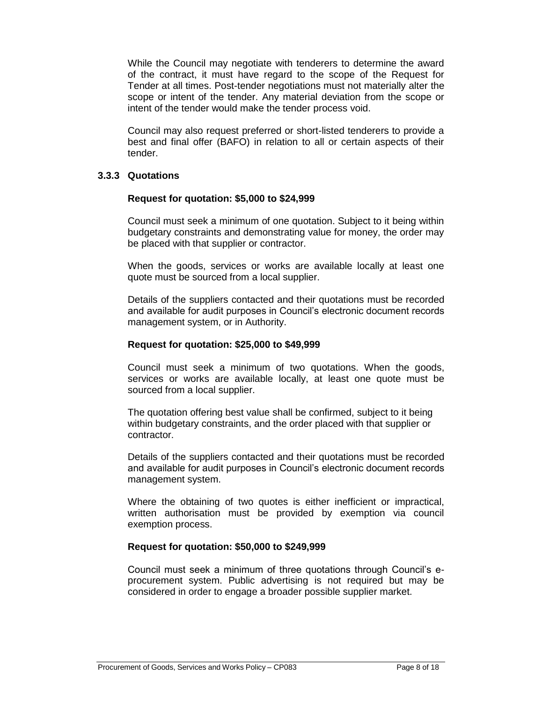While the Council may negotiate with tenderers to determine the award of the contract, it must have regard to the scope of the Request for Tender at all times. Post-tender negotiations must not materially alter the scope or intent of the tender. Any material deviation from the scope or intent of the tender would make the tender process void.

Council may also request preferred or short-listed tenderers to provide a best and final offer (BAFO) in relation to all or certain aspects of their tender.

### **3.3.3 Quotations**

#### **Request for quotation: \$5,000 to \$24,999**

Council must seek a minimum of one quotation. Subject to it being within budgetary constraints and demonstrating value for money, the order may be placed with that supplier or contractor.

When the goods, services or works are available locally at least one quote must be sourced from a local supplier.

Details of the suppliers contacted and their quotations must be recorded and available for audit purposes in Council's electronic document records management system, or in Authority.

#### **Request for quotation: \$25,000 to \$49,999**

Council must seek a minimum of two quotations. When the goods, services or works are available locally, at least one quote must be sourced from a local supplier.

The quotation offering best value shall be confirmed, subject to it being within budgetary constraints, and the order placed with that supplier or contractor.

Details of the suppliers contacted and their quotations must be recorded and available for audit purposes in Council's electronic document records management system.

Where the obtaining of two quotes is either inefficient or impractical, written authorisation must be provided by exemption via council exemption process.

### **Request for quotation: \$50,000 to \$249,999**

Council must seek a minimum of three quotations through Council's eprocurement system. Public advertising is not required but may be considered in order to engage a broader possible supplier market.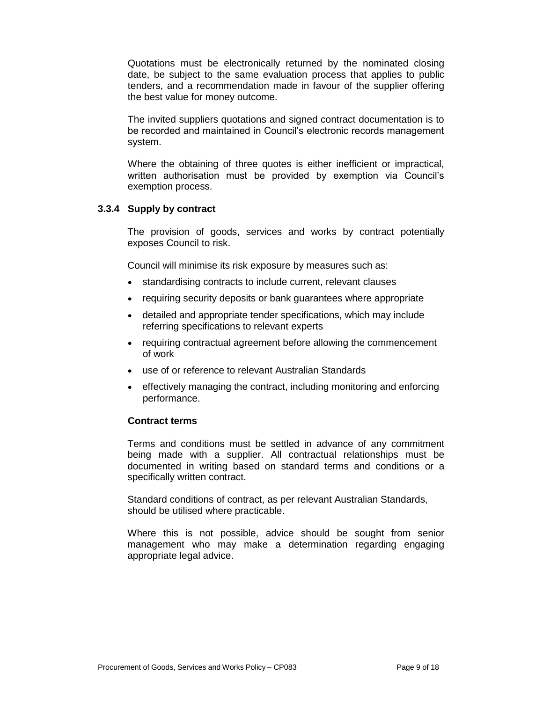Quotations must be electronically returned by the nominated closing date, be subject to the same evaluation process that applies to public tenders, and a recommendation made in favour of the supplier offering the best value for money outcome.

The invited suppliers quotations and signed contract documentation is to be recorded and maintained in Council's electronic records management system.

Where the obtaining of three quotes is either inefficient or impractical, written authorisation must be provided by exemption via Council's exemption process.

### **3.3.4 Supply by contract**

The provision of goods, services and works by contract potentially exposes Council to risk.

Council will minimise its risk exposure by measures such as:

- standardising contracts to include current, relevant clauses
- requiring security deposits or bank guarantees where appropriate
- detailed and appropriate tender specifications, which may include referring specifications to relevant experts
- requiring contractual agreement before allowing the commencement of work
- use of or reference to relevant Australian Standards
- effectively managing the contract, including monitoring and enforcing performance.

### **Contract terms**

Terms and conditions must be settled in advance of any commitment being made with a supplier. All contractual relationships must be documented in writing based on standard terms and conditions or a specifically written contract.

Standard conditions of contract, as per relevant Australian Standards, should be utilised where practicable.

Where this is not possible, advice should be sought from senior management who may make a determination regarding engaging appropriate legal advice.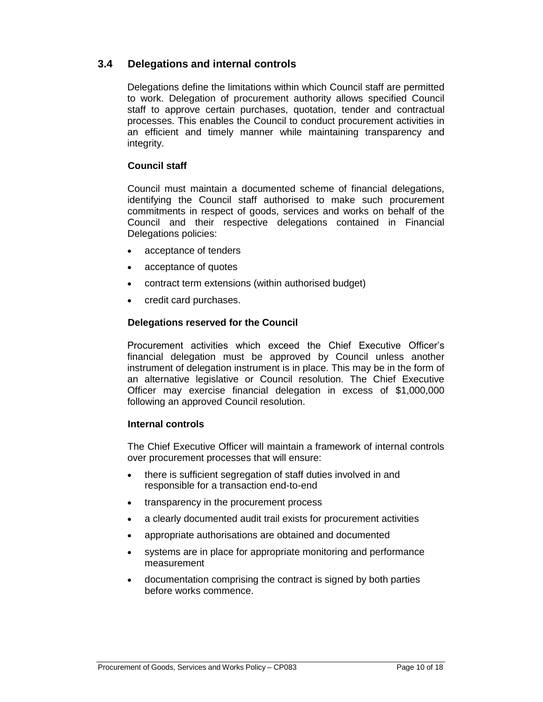### **3.4 Delegations and internal controls**

Delegations define the limitations within which Council staff are permitted to work. Delegation of procurement authority allows specified Council staff to approve certain purchases, quotation, tender and contractual processes. This enables the Council to conduct procurement activities in an efficient and timely manner while maintaining transparency and integrity.

### **Council staff**

Council must maintain a documented scheme of financial delegations, identifying the Council staff authorised to make such procurement commitments in respect of goods, services and works on behalf of the Council and their respective delegations contained in Financial Delegations policies:

- acceptance of tenders
- acceptance of quotes
- contract term extensions (within authorised budget)
- credit card purchases.

#### **Delegations reserved for the Council**

Procurement activities which exceed the Chief Executive Officer's financial delegation must be approved by Council unless another instrument of delegation instrument is in place. This may be in the form of an alternative legislative or Council resolution. The Chief Executive Officer may exercise financial delegation in excess of \$1,000,000 following an approved Council resolution.

#### **Internal controls**

The Chief Executive Officer will maintain a framework of internal controls over procurement processes that will ensure:

- there is sufficient segregation of staff duties involved in and responsible for a transaction end-to-end
- transparency in the procurement process
- a clearly documented audit trail exists for procurement activities
- appropriate authorisations are obtained and documented
- systems are in place for appropriate monitoring and performance measurement
- documentation comprising the contract is signed by both parties before works commence.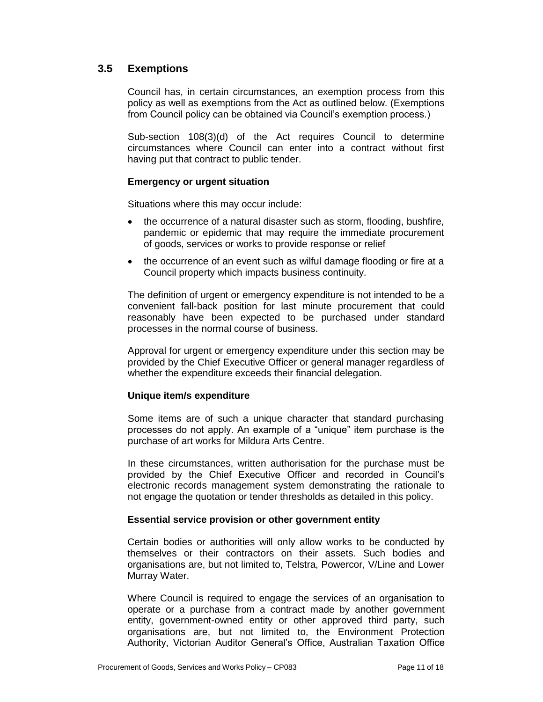### **3.5 Exemptions**

Council has, in certain circumstances, an exemption process from this policy as well as exemptions from the Act as outlined below. (Exemptions from Council policy can be obtained via Council's exemption process.)

Sub-section 108(3)(d) of the Act requires Council to determine circumstances where Council can enter into a contract without first having put that contract to public tender.

### **Emergency or urgent situation**

Situations where this may occur include:

- the occurrence of a natural disaster such as storm, flooding, bushfire, pandemic or epidemic that may require the immediate procurement of goods, services or works to provide response or relief
- the occurrence of an event such as wilful damage flooding or fire at a Council property which impacts business continuity.

The definition of urgent or emergency expenditure is not intended to be a convenient fall-back position for last minute procurement that could reasonably have been expected to be purchased under standard processes in the normal course of business.

Approval for urgent or emergency expenditure under this section may be provided by the Chief Executive Officer or general manager regardless of whether the expenditure exceeds their financial delegation.

### **Unique item/s expenditure**

Some items are of such a unique character that standard purchasing processes do not apply. An example of a "unique" item purchase is the purchase of art works for Mildura Arts Centre.

In these circumstances, written authorisation for the purchase must be provided by the Chief Executive Officer and recorded in Council's electronic records management system demonstrating the rationale to not engage the quotation or tender thresholds as detailed in this policy.

### **Essential service provision or other government entity**

Certain bodies or authorities will only allow works to be conducted by themselves or their contractors on their assets. Such bodies and organisations are, but not limited to, Telstra, Powercor, V/Line and Lower Murray Water.

Where Council is required to engage the services of an organisation to operate or a purchase from a contract made by another government entity, government-owned entity or other approved third party, such organisations are, but not limited to, the Environment Protection Authority, Victorian Auditor General's Office, Australian Taxation Office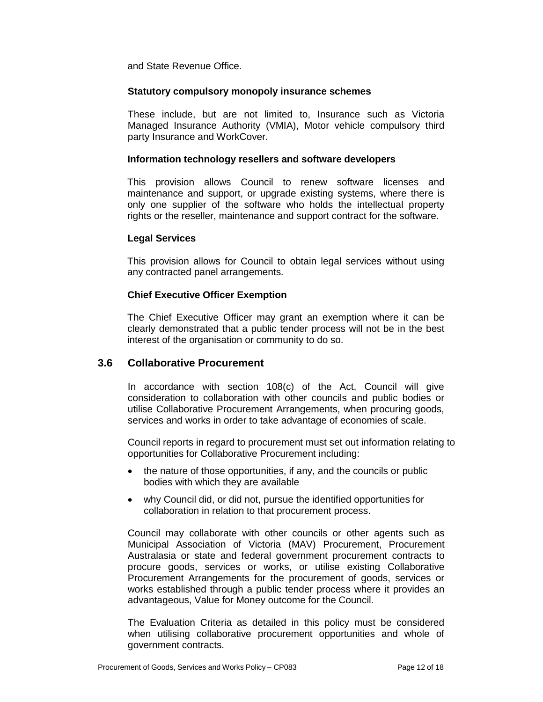and State Revenue Office.

#### **Statutory compulsory monopoly insurance schemes**

These include, but are not limited to, Insurance such as Victoria Managed Insurance Authority (VMIA), Motor vehicle compulsory third party Insurance and WorkCover.

#### **Information technology resellers and software developers**

This provision allows Council to renew software licenses and maintenance and support, or upgrade existing systems, where there is only one supplier of the software who holds the intellectual property rights or the reseller, maintenance and support contract for the software.

#### **Legal Services**

This provision allows for Council to obtain legal services without using any contracted panel arrangements.

### **Chief Executive Officer Exemption**

The Chief Executive Officer may grant an exemption where it can be clearly demonstrated that a public tender process will not be in the best interest of the organisation or community to do so.

### **3.6 Collaborative Procurement**

In accordance with section 108(c) of the Act, Council will give consideration to collaboration with other councils and public bodies or utilise Collaborative Procurement Arrangements, when procuring goods, services and works in order to take advantage of economies of scale.

Council reports in regard to procurement must set out information relating to opportunities for Collaborative Procurement including:

- the nature of those opportunities, if any, and the councils or public bodies with which they are available
- why Council did, or did not, pursue the identified opportunities for collaboration in relation to that procurement process.

Council may collaborate with other councils or other agents such as Municipal Association of Victoria (MAV) Procurement, Procurement Australasia or state and federal government procurement contracts to procure goods, services or works, or utilise existing Collaborative Procurement Arrangements for the procurement of goods, services or works established through a public tender process where it provides an advantageous, Value for Money outcome for the Council.

The Evaluation Criteria as detailed in this policy must be considered when utilising collaborative procurement opportunities and whole of government contracts.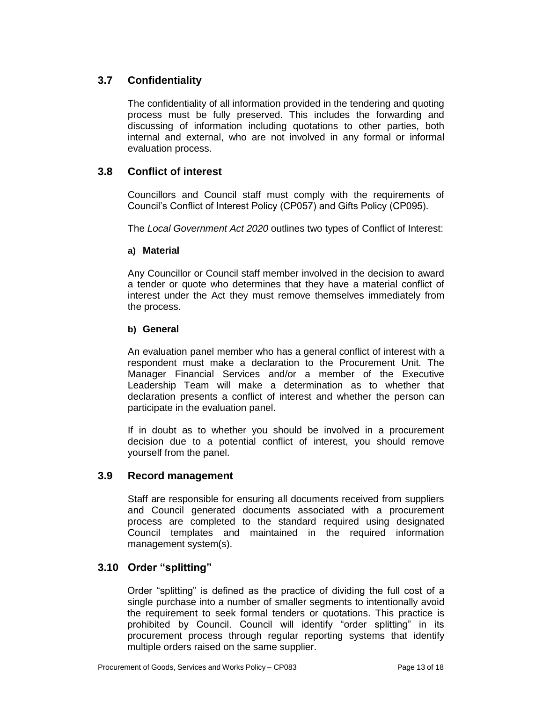# **3.7 Confidentiality**

The confidentiality of all information provided in the tendering and quoting process must be fully preserved. This includes the forwarding and discussing of information including quotations to other parties, both internal and external, who are not involved in any formal or informal evaluation process.

# **3.8 Conflict of interest**

Councillors and Council staff must comply with the requirements of Council's Conflict of Interest Policy (CP057) and Gifts Policy (CP095).

The *Local Government Act 2020* outlines two types of Conflict of Interest:

### **a) Material**

Any Councillor or Council staff member involved in the decision to award a tender or quote who determines that they have a material conflict of interest under the Act they must remove themselves immediately from the process.

### **b) General**

An evaluation panel member who has a general conflict of interest with a respondent must make a declaration to the Procurement Unit. The Manager Financial Services and/or a member of the Executive Leadership Team will make a determination as to whether that declaration presents a conflict of interest and whether the person can participate in the evaluation panel.

If in doubt as to whether you should be involved in a procurement decision due to a potential conflict of interest, you should remove yourself from the panel.

### **3.9 Record management**

Staff are responsible for ensuring all documents received from suppliers and Council generated documents associated with a procurement process are completed to the standard required using designated Council templates and maintained in the required information management system(s).

# **3.10 Order "splitting"**

Order "splitting" is defined as the practice of dividing the full cost of a single purchase into a number of smaller segments to intentionally avoid the requirement to seek formal tenders or quotations. This practice is prohibited by Council. Council will identify "order splitting" in its procurement process through regular reporting systems that identify multiple orders raised on the same supplier.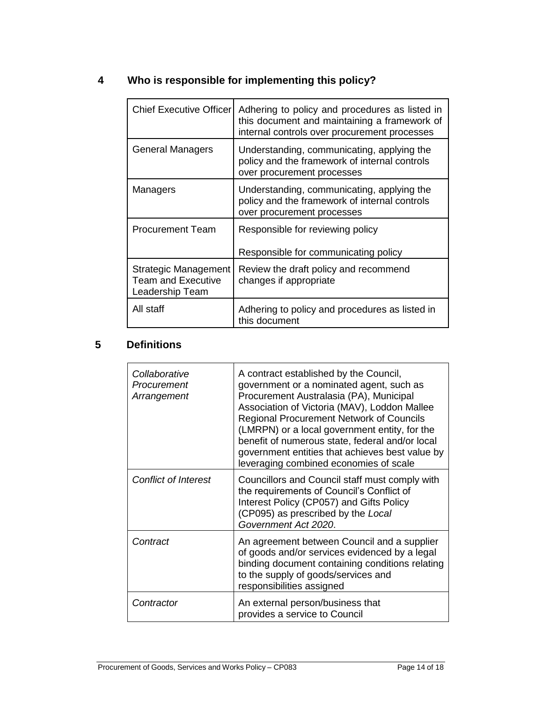# **4 Who is responsible for implementing this policy?**

| <b>Chief Executive Officer</b>                                       | Adhering to policy and procedures as listed in<br>this document and maintaining a framework of<br>internal controls over procurement processes |
|----------------------------------------------------------------------|------------------------------------------------------------------------------------------------------------------------------------------------|
| <b>General Managers</b>                                              | Understanding, communicating, applying the<br>policy and the framework of internal controls<br>over procurement processes                      |
| Managers                                                             | Understanding, communicating, applying the<br>policy and the framework of internal controls<br>over procurement processes                      |
| <b>Procurement Team</b>                                              | Responsible for reviewing policy<br>Responsible for communicating policy                                                                       |
| Strategic Management<br><b>Team and Executive</b><br>Leadership Team | Review the draft policy and recommend<br>changes if appropriate                                                                                |
| All staff                                                            | Adhering to policy and procedures as listed in<br>this document                                                                                |

# **5 Definitions**

| Collaborative<br>Procurement<br>Arrangement | A contract established by the Council,<br>government or a nominated agent, such as<br>Procurement Australasia (PA), Municipal<br>Association of Victoria (MAV), Loddon Mallee<br>Regional Procurement Network of Councils<br>(LMRPN) or a local government entity, for the<br>benefit of numerous state, federal and/or local<br>government entities that achieves best value by<br>leveraging combined economies of scale |
|---------------------------------------------|----------------------------------------------------------------------------------------------------------------------------------------------------------------------------------------------------------------------------------------------------------------------------------------------------------------------------------------------------------------------------------------------------------------------------|
| <b>Conflict of Interest</b>                 | Councillors and Council staff must comply with<br>the requirements of Council's Conflict of<br>Interest Policy (CP057) and Gifts Policy<br>(CP095) as prescribed by the Local<br>Government Act 2020.                                                                                                                                                                                                                      |
| Contract                                    | An agreement between Council and a supplier<br>of goods and/or services evidenced by a legal<br>binding document containing conditions relating<br>to the supply of goods/services and<br>responsibilities assigned                                                                                                                                                                                                        |
| Contractor                                  | An external person/business that<br>provides a service to Council                                                                                                                                                                                                                                                                                                                                                          |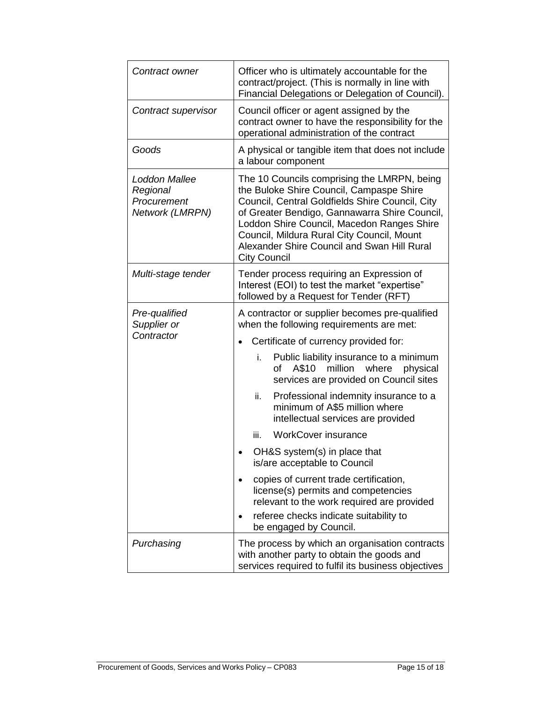| Contract owner                                              | Officer who is ultimately accountable for the<br>contract/project. (This is normally in line with<br>Financial Delegations or Delegation of Council).                                                                                                                                                                                                                                                                                                                                                                                                                                                                                                                                                         |  |  |
|-------------------------------------------------------------|---------------------------------------------------------------------------------------------------------------------------------------------------------------------------------------------------------------------------------------------------------------------------------------------------------------------------------------------------------------------------------------------------------------------------------------------------------------------------------------------------------------------------------------------------------------------------------------------------------------------------------------------------------------------------------------------------------------|--|--|
| Contract supervisor                                         | Council officer or agent assigned by the<br>contract owner to have the responsibility for the<br>operational administration of the contract                                                                                                                                                                                                                                                                                                                                                                                                                                                                                                                                                                   |  |  |
| Goods                                                       | A physical or tangible item that does not include<br>a labour component                                                                                                                                                                                                                                                                                                                                                                                                                                                                                                                                                                                                                                       |  |  |
| Loddon Mallee<br>Regional<br>Procurement<br>Network (LMRPN) | The 10 Councils comprising the LMRPN, being<br>the Buloke Shire Council, Campaspe Shire<br>Council, Central Goldfields Shire Council, City<br>of Greater Bendigo, Gannawarra Shire Council,<br>Loddon Shire Council, Macedon Ranges Shire<br>Council, Mildura Rural City Council, Mount<br>Alexander Shire Council and Swan Hill Rural<br><b>City Council</b>                                                                                                                                                                                                                                                                                                                                                 |  |  |
| Multi-stage tender                                          | Tender process requiring an Expression of<br>Interest (EOI) to test the market "expertise"<br>followed by a Request for Tender (RFT)                                                                                                                                                                                                                                                                                                                                                                                                                                                                                                                                                                          |  |  |
| Pre-qualified<br>Supplier or<br>Contractor                  | A contractor or supplier becomes pre-qualified<br>when the following requirements are met:<br>Certificate of currency provided for:<br>i.<br>Public liability insurance to a minimum<br>million<br>A\$10<br>where<br>οf<br>physical<br>services are provided on Council sites<br>Professional indemnity insurance to a<br>ii.<br>minimum of A\$5 million where<br>intellectual services are provided<br><b>WorkCover insurance</b><br>iii.<br>OH&S system(s) in place that<br>is/are acceptable to Council<br>copies of current trade certification,<br>license(s) permits and competencies<br>relevant to the work required are provided<br>referee checks indicate suitability to<br>be engaged by Council. |  |  |
| Purchasing                                                  | The process by which an organisation contracts<br>with another party to obtain the goods and<br>services required to fulfil its business objectives                                                                                                                                                                                                                                                                                                                                                                                                                                                                                                                                                           |  |  |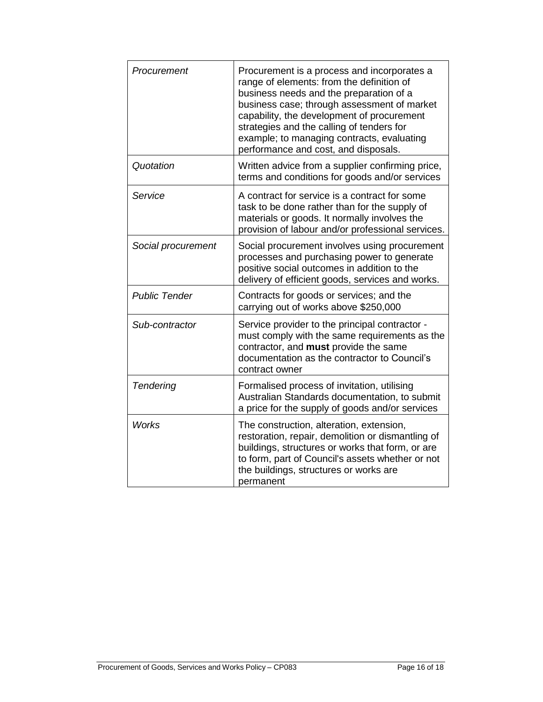| Procurement          | Procurement is a process and incorporates a<br>range of elements: from the definition of<br>business needs and the preparation of a<br>business case; through assessment of market<br>capability, the development of procurement<br>strategies and the calling of tenders for<br>example; to managing contracts, evaluating<br>performance and cost, and disposals. |
|----------------------|---------------------------------------------------------------------------------------------------------------------------------------------------------------------------------------------------------------------------------------------------------------------------------------------------------------------------------------------------------------------|
| Quotation            | Written advice from a supplier confirming price,<br>terms and conditions for goods and/or services                                                                                                                                                                                                                                                                  |
| Service              | A contract for service is a contract for some<br>task to be done rather than for the supply of<br>materials or goods. It normally involves the<br>provision of labour and/or professional services.                                                                                                                                                                 |
| Social procurement   | Social procurement involves using procurement<br>processes and purchasing power to generate<br>positive social outcomes in addition to the<br>delivery of efficient goods, services and works.                                                                                                                                                                      |
| <b>Public Tender</b> | Contracts for goods or services; and the<br>carrying out of works above \$250,000                                                                                                                                                                                                                                                                                   |
| Sub-contractor       | Service provider to the principal contractor -<br>must comply with the same requirements as the<br>contractor, and must provide the same<br>documentation as the contractor to Council's<br>contract owner                                                                                                                                                          |
| Tendering            | Formalised process of invitation, utilising<br>Australian Standards documentation, to submit<br>a price for the supply of goods and/or services                                                                                                                                                                                                                     |
| <b>Works</b>         | The construction, alteration, extension,<br>restoration, repair, demolition or dismantling of<br>buildings, structures or works that form, or are<br>to form, part of Council's assets whether or not<br>the buildings, structures or works are<br>permanent                                                                                                        |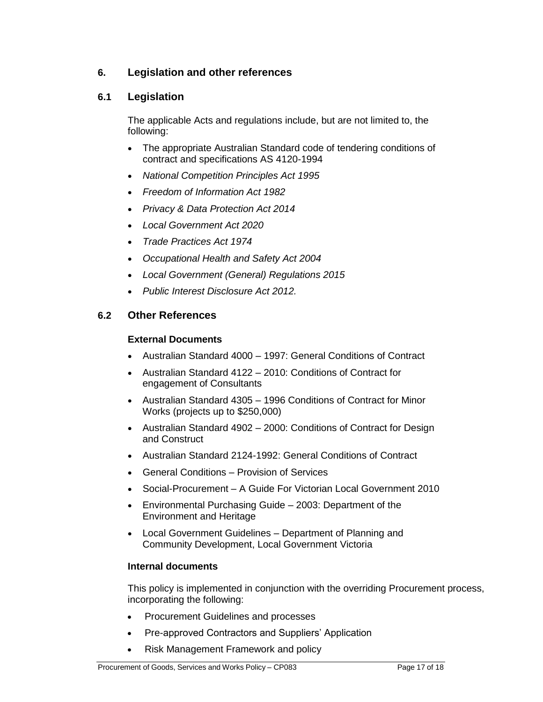# **6. Legislation and other references**

### **6.1 Legislation**

The applicable Acts and regulations include, but are not limited to, the following:

- The appropriate Australian Standard code of tendering conditions of contract and specifications AS 4120-1994
- *National Competition Principles Act 1995*
- *Freedom of Information Act 1982*
- *Privacy & Data Protection Act 2014*
- *Local Government Act 2020*
- *Trade Practices Act 1974*
- *Occupational Health and Safety Act 2004*
- *Local Government (General) Regulations 2015*
- *Public Interest Disclosure Act 2012.*

### **6.2 Other References**

### **External Documents**

- Australian Standard 4000 1997: General Conditions of Contract
- Australian Standard 4122 2010: Conditions of Contract for engagement of Consultants
- Australian Standard 4305 1996 Conditions of Contract for Minor Works (projects up to \$250,000)
- Australian Standard 4902 2000: Conditions of Contract for Design and Construct
- Australian Standard 2124-1992: General Conditions of Contract
- General Conditions Provision of Services
- Social-Procurement A Guide For Victorian Local Government 2010
- Environmental Purchasing Guide 2003: Department of the Environment and Heritage
- Local Government Guidelines Department of Planning and Community Development, Local Government Victoria

### **Internal documents**

This policy is implemented in conjunction with the overriding Procurement process, incorporating the following:

- Procurement Guidelines and processes
- Pre-approved Contractors and Suppliers' Application
- Risk Management Framework and policy